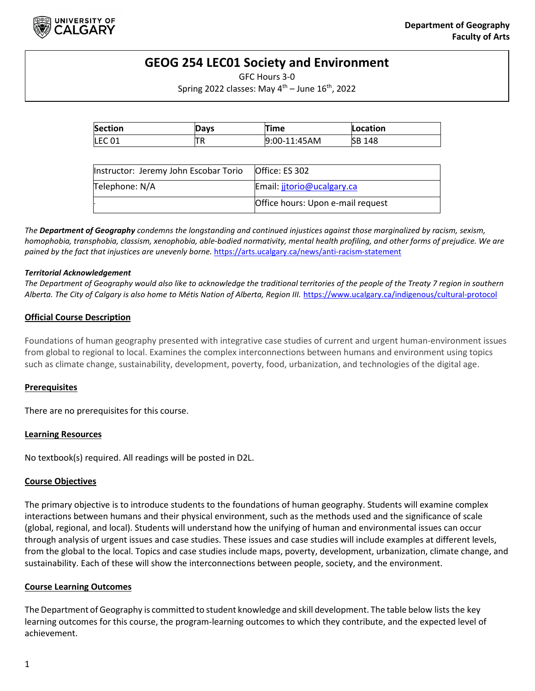

# **GEOG 254 LEC01 Society and Environment**

GFC Hours 3-0

Spring 2022 classes: May  $4<sup>th</sup>$  – June  $16<sup>th</sup>$ , 2022

| <b>Section</b> | Davs | 'ime         | Location      |
|----------------|------|--------------|---------------|
| <b>LEC 01</b>  | n.   | 9:00-11:45AM | <b>SB 148</b> |

| Instructor: Jeremy John Escobar Torio | Office: ES 302                    |
|---------------------------------------|-----------------------------------|
| Telephone: N/A                        | Email: jitorio@ucalgary.ca        |
|                                       | Office hours: Upon e-mail request |

*The Department of Geography condemns the longstanding and continued injustices against those marginalized by racism, sexism, homophobia, transphobia, classism, xenophobia, able-bodied normativity, mental health profiling, and other forms of prejudice. We are pained by the fact that injustices are unevenly borne.* <https://arts.ucalgary.ca/news/anti-racism-statement>

#### *Territorial Acknowledgement*

*The Department of Geography would also like to acknowledge the traditional territories of the people of the Treaty 7 region in southern Alberta. The City of Calgary is also home to Métis Nation of Alberta, Region III.* <https://www.ucalgary.ca/indigenous/cultural-protocol>

### **Official Course Description**

Foundations of human geography presented with integrative case studies of current and urgent human-environment issues from global to regional to local. Examines the complex interconnections between humans and environment using topics such as climate change, sustainability, development, poverty, food, urbanization, and technologies of the digital age.

#### **Prerequisites**

There are no prerequisites for this course.

#### **Learning Resources**

No textbook(s) required. All readings will be posted in D2L.

#### **Course Objectives**

The primary objective is to introduce students to the foundations of human geography. Students will examine complex interactions between humans and their physical environment, such as the methods used and the significance of scale (global, regional, and local). Students will understand how the unifying of human and environmental issues can occur through analysis of urgent issues and case studies. These issues and case studies will include examples at different levels, from the global to the local. Topics and case studies include maps, poverty, development, urbanization, climate change, and sustainability. Each of these will show the interconnections between people, society, and the environment.

#### **Course Learning Outcomes**

The Department of Geography is committed to student knowledge and skill development. The table below lists the key learning outcomes for this course, the program-learning outcomes to which they contribute, and the expected level of achievement.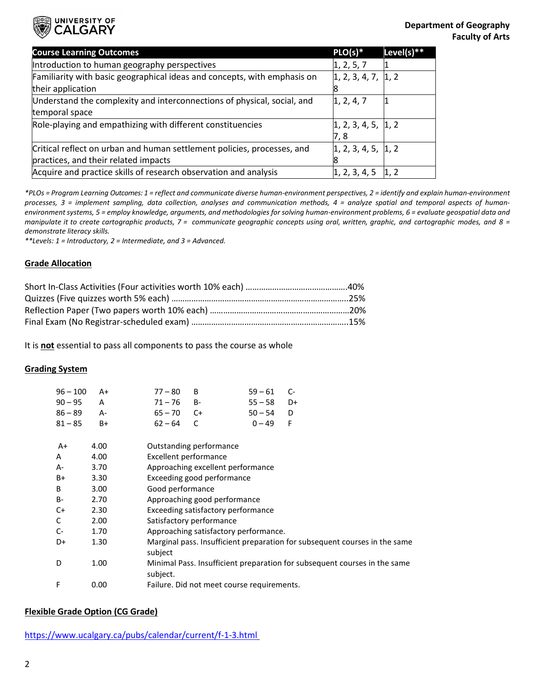

| <b>Course Learning Outcomes</b>                                          | $PLO(s)*$                               | Level(s) $**$ |
|--------------------------------------------------------------------------|-----------------------------------------|---------------|
| Introduction to human geography perspectives                             | 1, 2, 5, 7                              |               |
| Familiarity with basic geographical ideas and concepts, with emphasis on | $\vert 1, 2, 3, 4, 7, \vert 1, 2 \vert$ |               |
| their application                                                        |                                         |               |
| Understand the complexity and interconnections of physical, social, and  | 1, 2, 4, 7                              |               |
| temporal space                                                           |                                         |               |
| Role-playing and empathizing with different constituencies               | 1, 2, 3, 4, 5,  1, 2                    |               |
|                                                                          | 7,8                                     |               |
| Critical reflect on urban and human settlement policies, processes, and  | 1, 2, 3, 4, 5, 1, 2                     |               |
| practices, and their related impacts                                     |                                         |               |
| Acquire and practice skills of research observation and analysis         | 1, 2, 3, 4, 5                           | 1, 2          |

*\*PLOs = Program Learning Outcomes: 1 = reflect and communicate diverse human-environment perspectives, 2 = identify and explain human-environment processes, 3 = implement sampling, data collection, analyses and communication methods, 4 = analyze spatial and temporal aspects of humanenvironment systems, 5 = employ knowledge, arguments, and methodologies for solving human-environment problems, 6 = evaluate geospatial data and* manipulate it to create cartographic products, 7 = communicate geographic concepts using oral, written, graphic, and cartographic modes, and 8 = *demonstrate literacy skills.*

*\*\*Levels: 1 = Introductory, 2 = Intermediate, and 3 = Advanced.* 

#### **Grade Allocation**

It is **not** essential to pass all components to pass the course as whole

#### **Grading System**

| 96 – 100 – A+ |  | $59 - 61$ C-                                               |  |
|---------------|--|------------------------------------------------------------|--|
| 90–95 A       |  | $55 - 58$ D+                                               |  |
| 86-89 A-      |  | $50 - 54$ D                                                |  |
| 81–85 B+      |  | $0 - 49$ F                                                 |  |
|               |  | $77 - 80$ B<br>$71 - 76$ B-<br>$65 - 70$ C+<br>$62 - 64$ C |  |

| $A+$      | 4.00 | Outstanding performance                                                               |
|-----------|------|---------------------------------------------------------------------------------------|
| A         | 4.00 | <b>Excellent performance</b>                                                          |
| A-        | 3.70 | Approaching excellent performance                                                     |
| B+        | 3.30 | Exceeding good performance                                                            |
| B         | 3.00 | Good performance                                                                      |
| <b>B-</b> | 2.70 | Approaching good performance                                                          |
| C+        | 2.30 | Exceeding satisfactory performance                                                    |
| C         | 2.00 | Satisfactory performance                                                              |
| $C-$      | 1.70 | Approaching satisfactory performance.                                                 |
| D+        | 1.30 | Marginal pass. Insufficient preparation for subsequent courses in the same<br>subject |
| D         | 1.00 | Minimal Pass. Insufficient preparation for subsequent courses in the same<br>subject. |
| F         | 0.00 | Failure. Did not meet course requirements.                                            |

#### **Flexible Grade Option (CG Grade)**

<https://www.ucalgary.ca/pubs/calendar/current/f-1-3.html>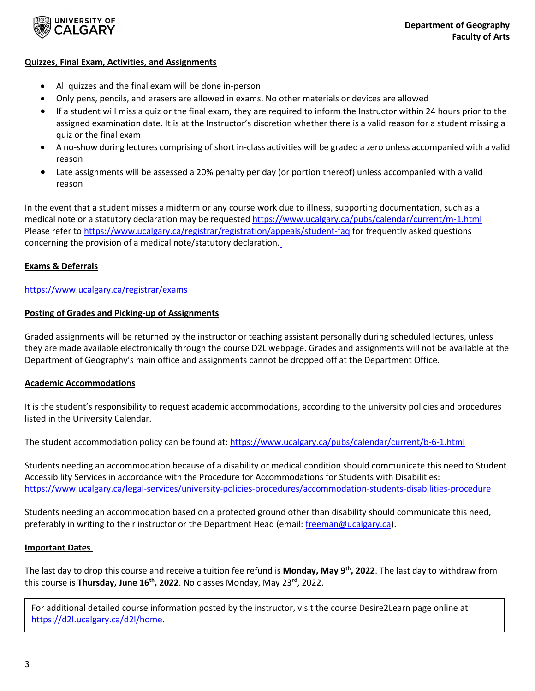

### **Quizzes, Final Exam, Activities, and Assignments**

- All quizzes and the final exam will be done in-person
- Only pens, pencils, and erasers are allowed in exams. No other materials or devices are allowed
- If a student will miss a quiz or the final exam, they are required to inform the Instructor within 24 hours prior to the assigned examination date. It is at the Instructor's discretion whether there is a valid reason for a student missing a quiz or the final exam
- A no-show during lectures comprising of short in-class activities will be graded a zero unless accompanied with a valid reason
- Late assignments will be assessed a 20% penalty per day (or portion thereof) unless accompanied with a valid reason

In the event that a student misses a midterm or any course work due to illness, supporting documentation, such as a medical note or a statutory declaration may be requested https://www.ucalgary.ca/pubs/calendar/current/m-1.html Please refer to<https://www.ucalgary.ca/registrar/registration/appeals/student-faq> for frequently asked questions concerning the provision of a medical note/statutory declaration.

## **Exams & Deferrals**

## <https://www.ucalgary.ca/registrar/exams>

### **Posting of Grades and Picking-up of Assignments**

Graded assignments will be returned by the instructor or teaching assistant personally during scheduled lectures, unless they are made available electronically through the course D2L webpage. Grades and assignments will not be available at the Department of Geography's main office and assignments cannot be dropped off at the Department Office.

## **Academic Accommodations**

It is the student's responsibility to request academic accommodations, according to the university policies and procedures listed in the University Calendar.

The student accommodation policy can be found at[: https://www.ucalgary.ca/pubs/calendar/current/b-6-1.html](https://www.ucalgary.ca/pubs/calendar/current/b-6-1.html)

Students needing an accommodation because of a disability or medical condition should communicate this need to Student Accessibility Services in accordance with the Procedure for Accommodations for Students with Disabilities: <https://www.ucalgary.ca/legal-services/university-policies-procedures/accommodation-students-disabilities-procedure>

Students needing an accommodation based on a protected ground other than disability should communicate this need, preferably in writing to their instructor or the Department Head (email[: freeman@ucalgary.ca\)](mailto:freeman@ucalgary.ca).

#### **Important Dates**

The last day to drop this course and receive a tuition fee refund is **Monday, May 9th, 2022**. The last day to withdraw from this course is **Thursday, June 16th, 2022**. No classes Monday, May 23rd, 2022.

For additional detailed course information posted by the instructor, visit the course Desire2Learn page online at [https://d2l.ucalgary.ca/d2l/home.](https://d2l.ucalgary.ca/d2l/home)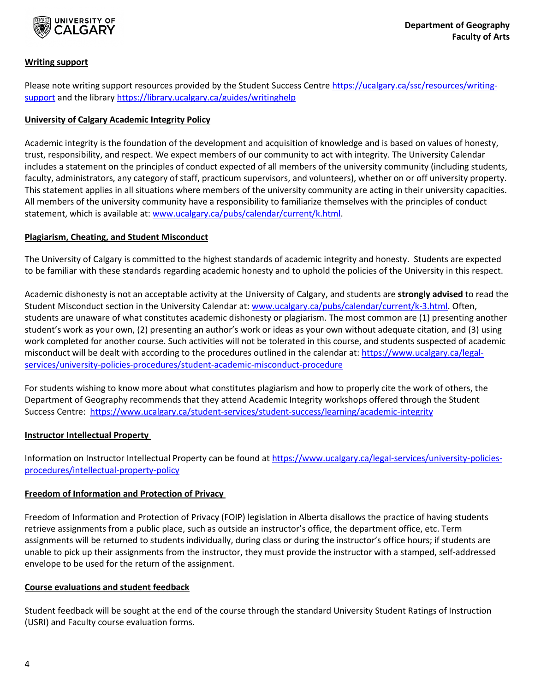

## **Writing support**

Please note writing support resources provided by the Student Success Centre [https://ucalgary.ca/ssc/resources/writing](https://ucalgary.ca/ssc/resources/writing-support)[support](https://ucalgary.ca/ssc/resources/writing-support) and the library<https://library.ucalgary.ca/guides/writinghelp>

## **University of Calgary Academic Integrity Policy**

Academic integrity is the foundation of the development and acquisition of knowledge and is based on values of honesty, trust, responsibility, and respect. We expect members of our community to act with integrity. The University Calendar includes a statement on the principles of conduct expected of all members of the university community (including students, faculty, administrators, any category of staff, practicum supervisors, and volunteers), whether on or off university property. This statement applies in all situations where members of the university community are acting in their university capacities. All members of the university community have a responsibility to familiarize themselves with the principles of conduct statement, which is available at[: www.ucalgary.ca/pubs/calendar/current/k.html.](http://www.ucalgary.ca/pubs/calendar/current/k.html)

## **Plagiarism, Cheating, and Student Misconduct**

The University of Calgary is committed to the highest standards of academic integrity and honesty. Students are expected to be familiar with these standards regarding academic honesty and to uphold the policies of the University in this respect.

Academic dishonesty is not an acceptable activity at the University of Calgary, and students are **strongly advised** to read the Student Misconduct section in the University Calendar at: [www.ucalgary.ca/pubs/calendar/current/k-3.html.](http://www.ucalgary.ca/pubs/calendar/current/k-3.html) Often, students are unaware of what constitutes academic dishonesty or plagiarism. The most common are (1) presenting another student's work as your own, (2) presenting an author's work or ideas as your own without adequate citation, and (3) using work completed for another course. Such activities will not be tolerated in this course, and students suspected of academic misconduct will be dealt with according to the procedures outlined in the calendar at: [https://www.ucalgary.ca/legal](https://www.ucalgary.ca/legal-services/university-policies-procedures/student-academic-misconduct-procedure)[services/university-policies-procedures/student-academic-misconduct-procedure](https://www.ucalgary.ca/legal-services/university-policies-procedures/student-academic-misconduct-procedure)

For students wishing to know more about what constitutes plagiarism and how to properly cite the work of others, the Department of Geography recommends that they attend Academic Integrity workshops offered through the Student Success Centre: <https://www.ucalgary.ca/student-services/student-success/learning/academic-integrity>

## **Instructor Intellectual Property**

Information on Instructor Intellectual Property can be found at [https://www.ucalgary.ca/legal-services/university-policies](https://www.ucalgary.ca/legal-services/university-policies-procedures/intellectual-property-policy)[procedures/intellectual-property-policy](https://www.ucalgary.ca/legal-services/university-policies-procedures/intellectual-property-policy)

## **Freedom of Information and Protection of Privacy**

Freedom of Information and Protection of Privacy (FOIP) legislation in Alberta disallows the practice of having students retrieve assignments from a public place, such as outside an instructor's office, the department office, etc. Term assignments will be returned to students individually, during class or during the instructor's office hours; if students are unable to pick up their assignments from the instructor, they must provide the instructor with a stamped, self-addressed envelope to be used for the return of the assignment.

## **Course evaluations and student feedback**

Student feedback will be sought at the end of the course through the standard University Student Ratings of Instruction (USRI) and Faculty course evaluation forms.